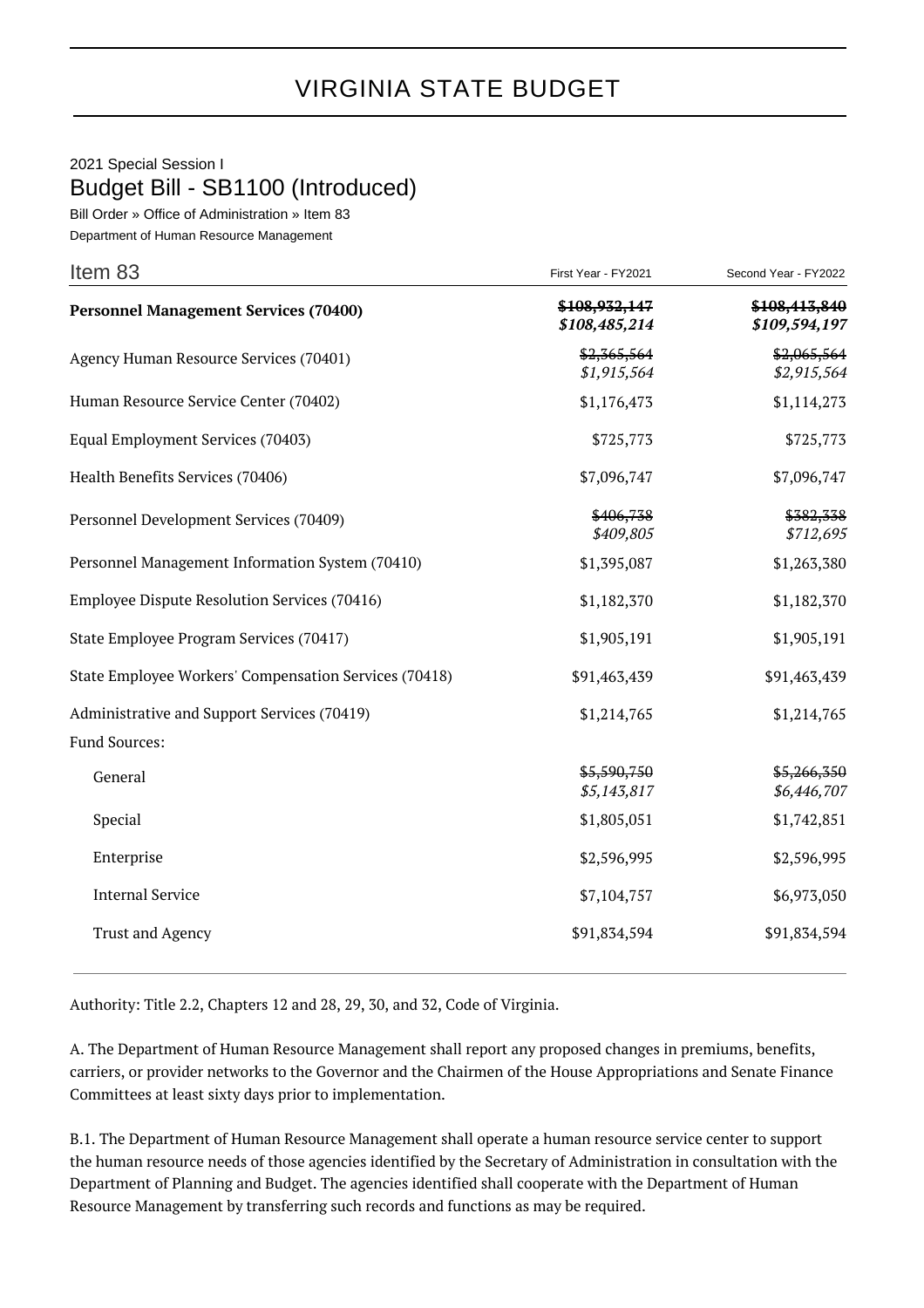## VIRGINIA STATE BUDGET

## 2021 Special Session I Budget Bill - SB1100 (Introduced)

Bill Order » Office of Administration » Item 83

Department of Human Resource Management

| Item 83                                               | First Year - FY2021            | Second Year - FY2022           |
|-------------------------------------------------------|--------------------------------|--------------------------------|
| <b>Personnel Management Services (70400)</b>          | \$108,932,147<br>\$108,485,214 | \$108,413,840<br>\$109,594,197 |
| Agency Human Resource Services (70401)                | \$2,365,564<br>\$1,915,564     | \$2,065,564<br>\$2,915,564     |
| Human Resource Service Center (70402)                 | \$1,176,473                    | \$1,114,273                    |
| Equal Employment Services (70403)                     | \$725,773                      | \$725,773                      |
| Health Benefits Services (70406)                      | \$7,096,747                    | \$7,096,747                    |
| Personnel Development Services (70409)                | \$406,738<br>\$409,805         | \$382,338<br>\$712,695         |
| Personnel Management Information System (70410)       | \$1,395,087                    | \$1,263,380                    |
| Employee Dispute Resolution Services (70416)          | \$1,182,370                    | \$1,182,370                    |
| State Employee Program Services (70417)               | \$1,905,191                    | \$1,905,191                    |
| State Employee Workers' Compensation Services (70418) | \$91,463,439                   | \$91,463,439                   |
| Administrative and Support Services (70419)           | \$1,214,765                    | \$1,214,765                    |
| Fund Sources:                                         |                                |                                |
| General                                               | \$5,590,750<br>\$5,143,817     | \$5,266,350<br>\$6,446,707     |
| Special                                               | \$1,805,051                    | \$1,742,851                    |
| Enterprise                                            | \$2,596,995                    | \$2,596,995                    |
| <b>Internal Service</b>                               | \$7,104,757                    | \$6,973,050                    |
| <b>Trust and Agency</b>                               | \$91,834,594                   | \$91,834,594                   |

Authority: Title 2.2, Chapters 12 and 28, 29, 30, and 32, Code of Virginia.

A. The Department of Human Resource Management shall report any proposed changes in premiums, benefits, carriers, or provider networks to the Governor and the Chairmen of the House Appropriations and Senate Finance Committees at least sixty days prior to implementation.

B.1. The Department of Human Resource Management shall operate a human resource service center to support the human resource needs of those agencies identified by the Secretary of Administration in consultation with the Department of Planning and Budget. The agencies identified shall cooperate with the Department of Human Resource Management by transferring such records and functions as may be required.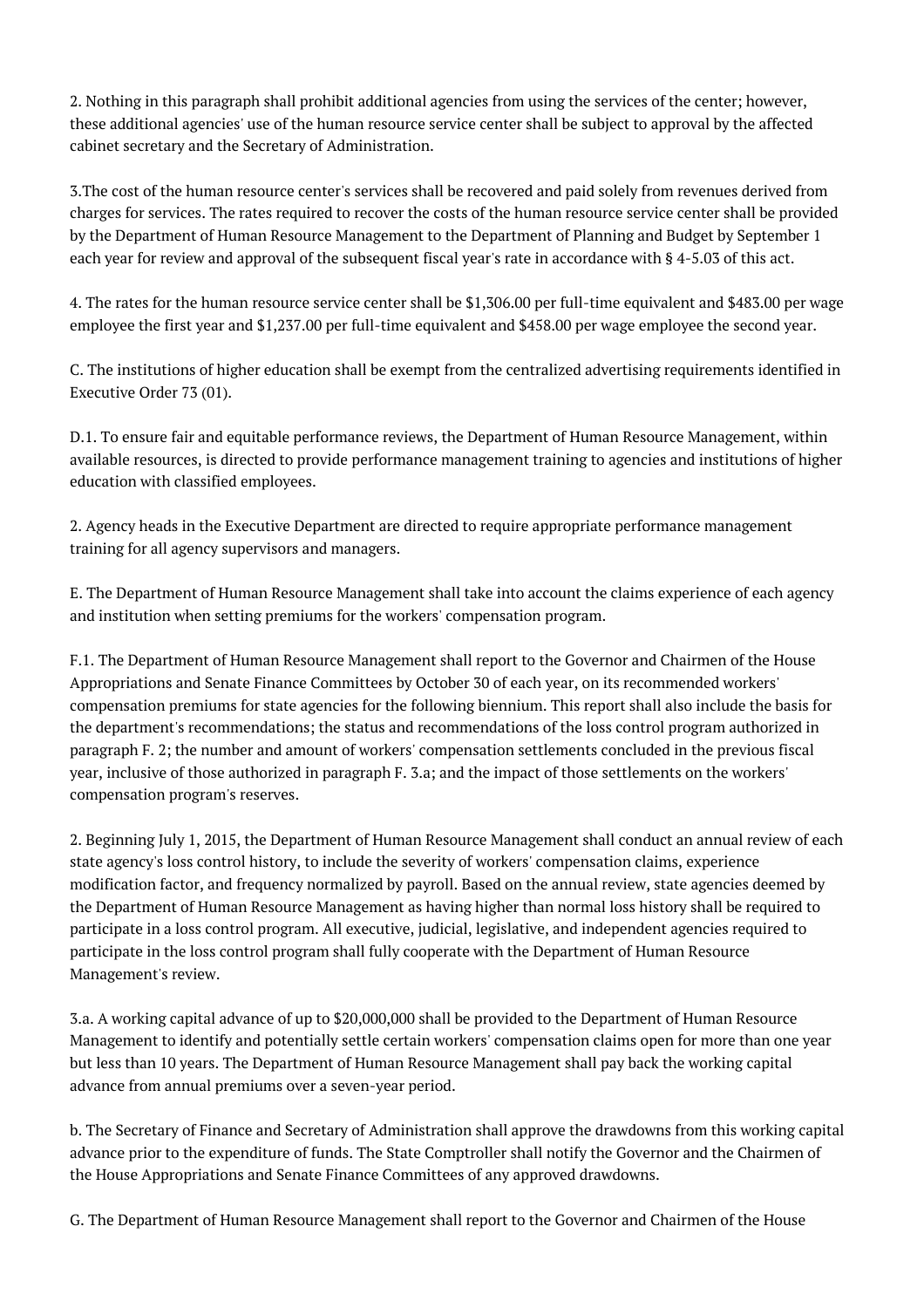2. Nothing in this paragraph shall prohibit additional agencies from using the services of the center; however, these additional agencies' use of the human resource service center shall be subject to approval by the affected cabinet secretary and the Secretary of Administration.

3.The cost of the human resource center's services shall be recovered and paid solely from revenues derived from charges for services. The rates required to recover the costs of the human resource service center shall be provided by the Department of Human Resource Management to the Department of Planning and Budget by September 1 each year for review and approval of the subsequent fiscal year's rate in accordance with § 4-5.03 of this act.

4. The rates for the human resource service center shall be \$1,306.00 per full-time equivalent and \$483.00 per wage employee the first year and \$1,237.00 per full-time equivalent and \$458.00 per wage employee the second year.

C. The institutions of higher education shall be exempt from the centralized advertising requirements identified in Executive Order 73 (01).

D.1. To ensure fair and equitable performance reviews, the Department of Human Resource Management, within available resources, is directed to provide performance management training to agencies and institutions of higher education with classified employees.

2. Agency heads in the Executive Department are directed to require appropriate performance management training for all agency supervisors and managers.

E. The Department of Human Resource Management shall take into account the claims experience of each agency and institution when setting premiums for the workers' compensation program.

F.1. The Department of Human Resource Management shall report to the Governor and Chairmen of the House Appropriations and Senate Finance Committees by October 30 of each year, on its recommended workers' compensation premiums for state agencies for the following biennium. This report shall also include the basis for the department's recommendations; the status and recommendations of the loss control program authorized in paragraph F. 2; the number and amount of workers' compensation settlements concluded in the previous fiscal year, inclusive of those authorized in paragraph F. 3.a; and the impact of those settlements on the workers' compensation program's reserves.

2. Beginning July 1, 2015, the Department of Human Resource Management shall conduct an annual review of each state agency's loss control history, to include the severity of workers' compensation claims, experience modification factor, and frequency normalized by payroll. Based on the annual review, state agencies deemed by the Department of Human Resource Management as having higher than normal loss history shall be required to participate in a loss control program. All executive, judicial, legislative, and independent agencies required to participate in the loss control program shall fully cooperate with the Department of Human Resource Management's review.

3.a. A working capital advance of up to \$20,000,000 shall be provided to the Department of Human Resource Management to identify and potentially settle certain workers' compensation claims open for more than one year but less than 10 years. The Department of Human Resource Management shall pay back the working capital advance from annual premiums over a seven-year period.

b. The Secretary of Finance and Secretary of Administration shall approve the drawdowns from this working capital advance prior to the expenditure of funds. The State Comptroller shall notify the Governor and the Chairmen of the House Appropriations and Senate Finance Committees of any approved drawdowns.

G. The Department of Human Resource Management shall report to the Governor and Chairmen of the House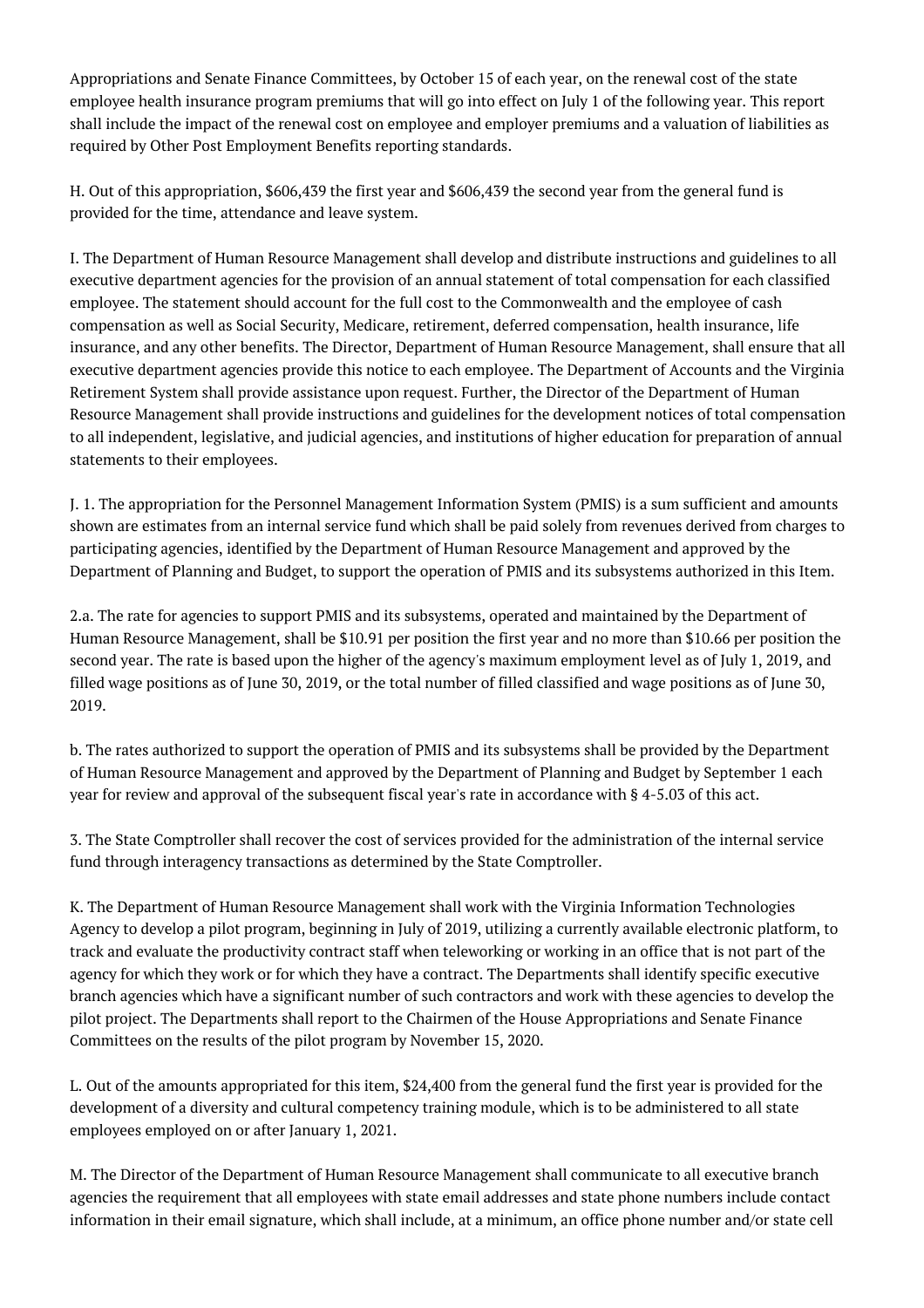Appropriations and Senate Finance Committees, by October 15 of each year, on the renewal cost of the state employee health insurance program premiums that will go into effect on July 1 of the following year. This report shall include the impact of the renewal cost on employee and employer premiums and a valuation of liabilities as required by Other Post Employment Benefits reporting standards.

H. Out of this appropriation, \$606,439 the first year and \$606,439 the second year from the general fund is provided for the time, attendance and leave system.

I. The Department of Human Resource Management shall develop and distribute instructions and guidelines to all executive department agencies for the provision of an annual statement of total compensation for each classified employee. The statement should account for the full cost to the Commonwealth and the employee of cash compensation as well as Social Security, Medicare, retirement, deferred compensation, health insurance, life insurance, and any other benefits. The Director, Department of Human Resource Management, shall ensure that all executive department agencies provide this notice to each employee. The Department of Accounts and the Virginia Retirement System shall provide assistance upon request. Further, the Director of the Department of Human Resource Management shall provide instructions and guidelines for the development notices of total compensation to all independent, legislative, and judicial agencies, and institutions of higher education for preparation of annual statements to their employees.

J. 1. The appropriation for the Personnel Management Information System (PMIS) is a sum sufficient and amounts shown are estimates from an internal service fund which shall be paid solely from revenues derived from charges to participating agencies, identified by the Department of Human Resource Management and approved by the Department of Planning and Budget, to support the operation of PMIS and its subsystems authorized in this Item.

2.a. The rate for agencies to support PMIS and its subsystems, operated and maintained by the Department of Human Resource Management, shall be \$10.91 per position the first year and no more than \$10.66 per position the second year. The rate is based upon the higher of the agency's maximum employment level as of July 1, 2019, and filled wage positions as of June 30, 2019, or the total number of filled classified and wage positions as of June 30, 2019.

b. The rates authorized to support the operation of PMIS and its subsystems shall be provided by the Department of Human Resource Management and approved by the Department of Planning and Budget by September 1 each year for review and approval of the subsequent fiscal year's rate in accordance with § 4-5.03 of this act.

3. The State Comptroller shall recover the cost of services provided for the administration of the internal service fund through interagency transactions as determined by the State Comptroller.

K. The Department of Human Resource Management shall work with the Virginia Information Technologies Agency to develop a pilot program, beginning in July of 2019, utilizing a currently available electronic platform, to track and evaluate the productivity contract staff when teleworking or working in an office that is not part of the agency for which they work or for which they have a contract. The Departments shall identify specific executive branch agencies which have a significant number of such contractors and work with these agencies to develop the pilot project. The Departments shall report to the Chairmen of the House Appropriations and Senate Finance Committees on the results of the pilot program by November 15, 2020.

L. Out of the amounts appropriated for this item, \$24,400 from the general fund the first year is provided for the development of a diversity and cultural competency training module, which is to be administered to all state employees employed on or after January 1, 2021.

M. The Director of the Department of Human Resource Management shall communicate to all executive branch agencies the requirement that all employees with state email addresses and state phone numbers include contact information in their email signature, which shall include, at a minimum, an office phone number and/or state cell